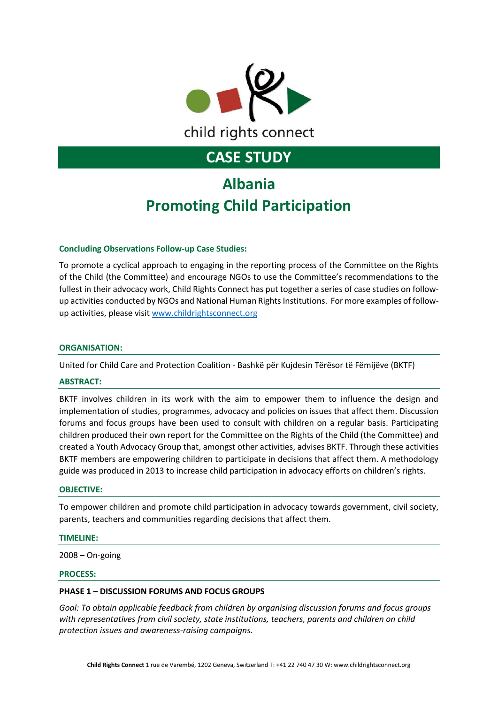

# **Albania Promoting Child Participation**

#### **Concluding Observations Follow-up Case Studies:**

To promote a cyclical approach to engaging in the reporting process of the Committee on the Rights of the Child (the Committee) and encourage NGOs to use the Committee's recommendations to the fullest in their advocacy work, Child Rights Connect has put together a series of case studies on followup activities conducted by NGOs and National Human Rights Institutions. For more examples of followup activities, please visi[t www.childrightsconnect.org](http://www.childrightsconnect.org/)

#### **ORGANISATION:**

United for Child Care and Protection Coalition - Bashkë për Kujdesin Tërësor të Fëmijëve (BKTF)

#### **ABSTRACT:**

BKTF involves children in its work with the aim to empower them to influence the design and implementation of studies, programmes, advocacy and policies on issues that affect them. Discussion forums and focus groups have been used to consult with children on a regular basis. Participating children produced their own report for the Committee on the Rights of the Child (the Committee) and created a Youth Advocacy Group that, amongst other activities, advises BKTF. Through these activities BKTF members are empowering children to participate in decisions that affect them. A methodology guide was produced in 2013 to increase child participation in advocacy efforts on children's rights.

#### **OBJECTIVE:**

To empower children and promote child participation in advocacy towards government, civil society, parents, teachers and communities regarding decisions that affect them.

#### **TIMELINE:**

2008 – On-going

#### **PROCESS:**

#### **PHASE 1 – DISCUSSION FORUMS AND FOCUS GROUPS**

*Goal: To obtain applicable feedback from children by organising discussion forums and focus groups with representatives from civil society, state institutions, teachers, parents and children on child protection issues and awareness-raising campaigns.*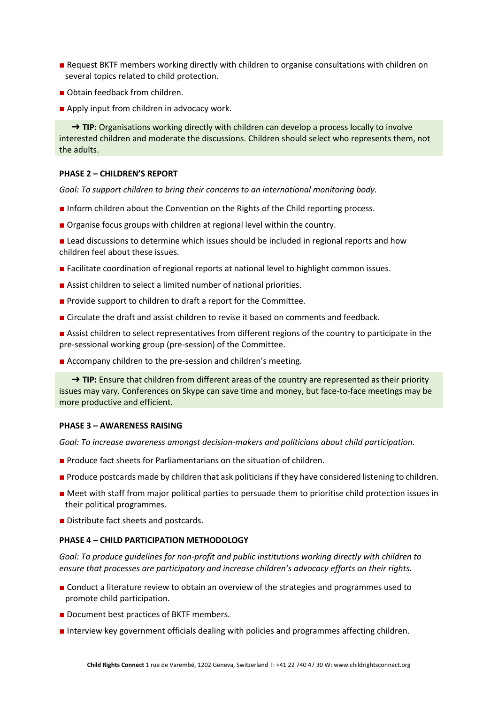- Request BKTF members working directly with children to organise consultations with children on several topics related to child protection.
- Obtain feedback from children.
- Apply input from children in advocacy work.

→ **TIP:** Organisations working directly with children can develop a process locally to involve interested children and moderate the discussions. Children should select who represents them, not the adults.

#### **PHASE 2 – CHILDREN'S REPORT**

*Goal: To support children to bring their concerns to an international monitoring body.*

- Inform children about the Convention on the Rights of the Child reporting process.
- Organise focus groups with children at regional level within the country.
- Lead discussions to determine which issues should be included in regional reports and how children feel about these issues.
- Facilitate coordination of regional reports at national level to highlight common issues.
- Assist children to select a limited number of national priorities.
- Provide support to children to draft a report for the Committee.
- Circulate the draft and assist children to revise it based on comments and feedback.
- Assist children to select representatives from different regions of the country to participate in the pre-sessional working group (pre-session) of the Committee.
- Accompany children to the pre-session and children's meeting.

→ **TIP:** Ensure that children from different areas of the country are represented as their priority issues may vary. Conferences on Skype can save time and money, but face-to-face meetings may be more productive and efficient.

#### **PHASE 3 – AWARENESS RAISING**

*Goal: To increase awareness amongst decision-makers and politicians about child participation.*

- Produce fact sheets for Parliamentarians on the situation of children.
- Produce postcards made by children that ask politicians if they have considered listening to children.
- Meet with staff from major political parties to persuade them to prioritise child protection issues in their political programmes.
- Distribute fact sheets and postcards.

#### **PHASE 4 – CHILD PARTICIPATION METHODOLOGY**

*Goal: To produce guidelines for non-profit and public institutions working directly with children to ensure that processes are participatory and increase children's advocacy efforts on their rights.*

- Conduct a literature review to obtain an overview of the strategies and programmes used to promote child participation.
- Document best practices of BKTF members.
- Interview key government officials dealing with policies and programmes affecting children.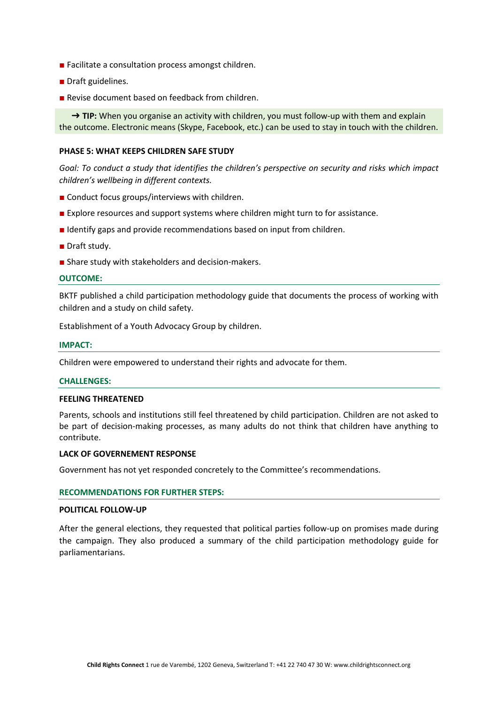- Facilitate a consultation process amongst children.
- Draft guidelines.
- Revise document based on feedback from children.

→ **TIP:** When you organise an activity with children, you must follow-up with them and explain the outcome. Electronic means (Skype, Facebook, etc.) can be used to stay in touch with the children.

#### **PHASE 5: WHAT KEEPS CHILDREN SAFE STUDY**

*Goal: To conduct a study that identifies the children's perspective on security and risks which impact children's wellbeing in different contexts.*

- Conduct focus groups/interviews with children.
- Explore resources and support systems where children might turn to for assistance.
- Identify gaps and provide recommendations based on input from children.
- Draft study.
- Share study with stakeholders and decision-makers.

#### **OUTCOME:**

BKTF published a child participation methodology guide that documents the process of working with children and a study on child safety.

Establishment of a Youth Advocacy Group by children.

#### **IMPACT:**

Children were empowered to understand their rights and advocate for them.

#### **CHALLENGES:**

#### **FEELING THREATENED**

Parents, schools and institutions still feel threatened by child participation. Children are not asked to be part of decision-making processes, as many adults do not think that children have anything to contribute.

#### **LACK OF GOVERNEMENT RESPONSE**

Government has not yet responded concretely to the Committee's recommendations.

#### **RECOMMENDATIONS FOR FURTHER STEPS:**

#### **POLITICAL FOLLOW-UP**

After the general elections, they requested that political parties follow-up on promises made during the campaign. They also produced a summary of the child participation methodology guide for parliamentarians.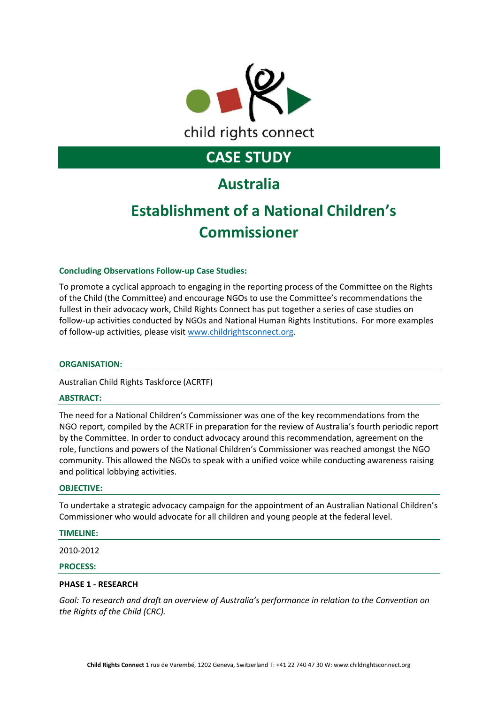

### **Australia**

# **Establishment of a National Children's Commissioner**

#### **Concluding Observations Follow-up Case Studies:**

To promote a cyclical approach to engaging in the reporting process of the Committee on the Rights of the Child (the Committee) and encourage NGOs to use the Committee's recommendations the fullest in their advocacy work, Child Rights Connect has put together a series of case studies on follow-up activities conducted by NGOs and National Human Rights Institutions. For more examples of follow-up activities, please visit [www.childrightsconnect.org.](http://www.childrightsconnect.org/)

#### **ORGANISATION:**

Australian Child Rights Taskforce (ACRTF)

#### **ABSTRACT:**

The need for a National Children's Commissioner was one of the key recommendations from the NGO report, compiled by the ACRTF in preparation for the review of Australia's fourth periodic report by the Committee. In order to conduct advocacy around this recommendation, agreement on the role, functions and powers of the National Children's Commissioner was reached amongst the NGO community. This allowed the NGOs to speak with a unified voice while conducting awareness raising and political lobbying activities.

#### **OBJECTIVE:**

To undertake a strategic advocacy campaign for the appointment of an Australian National Children's Commissioner who would advocate for all children and young people at the federal level.

#### **TIMELINE:**

2010-2012

#### **PROCESS:**

#### **PHASE 1 - RESEARCH**

*Goal: To research and draft an overview of Australia's performance in relation to the Convention on the Rights of the Child (CRC).*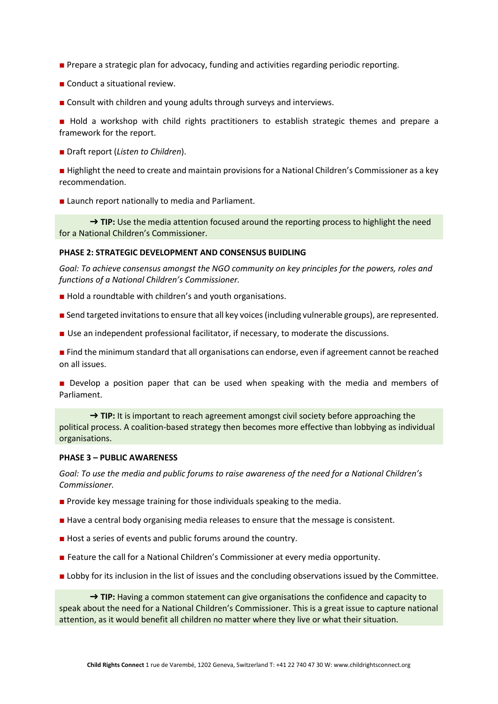- Prepare a strategic plan for advocacy, funding and activities regarding periodic reporting.
- Conduct a situational review.
- Consult with children and young adults through surveys and interviews.

■ Hold a workshop with child rights practitioners to establish strategic themes and prepare a framework for the report.

■ Draft report (*Listen to Children*).

■ Highlight the need to create and maintain provisions for a National Children's Commissioner as a key recommendation.

■ Launch report nationally to media and Parliament.

→ **TIP:** Use the media attention focused around the reporting process to highlight the need for a National Children's Commissioner.

#### **PHASE 2: STRATEGIC DEVELOPMENT AND CONSENSUS BUIDLING**

*Goal: To achieve consensus amongst the NGO community on key principles for the powers, roles and functions of a National Children's Commissioner.*

- Hold a roundtable with children's and youth organisations.
- Send targeted invitations to ensure that all key voices (including vulnerable groups), are represented.
- Use an independent professional facilitator, if necessary, to moderate the discussions.

■ Find the minimum standard that all organisations can endorse, even if agreement cannot be reached on all issues.

■ Develop a position paper that can be used when speaking with the media and members of Parliament.

→ TIP: It is important to reach agreement amongst civil society before approaching the political process. A coalition-based strategy then becomes more effective than lobbying as individual organisations.

#### **PHASE 3 – PUBLIC AWARENESS**

*Goal: To use the media and public forums to raise awareness of the need for a National Children's Commissioner.*

- Provide key message training for those individuals speaking to the media.
- Have a central body organising media releases to ensure that the message is consistent.
- Host a series of events and public forums around the country.
- Feature the call for a National Children's Commissioner at every media opportunity.
- Lobby for its inclusion in the list of issues and the concluding observations issued by the Committee.

→ **TIP:** Having a common statement can give organisations the confidence and capacity to speak about the need for a National Children's Commissioner. This is a great issue to capture national attention, as it would benefit all children no matter where they live or what their situation.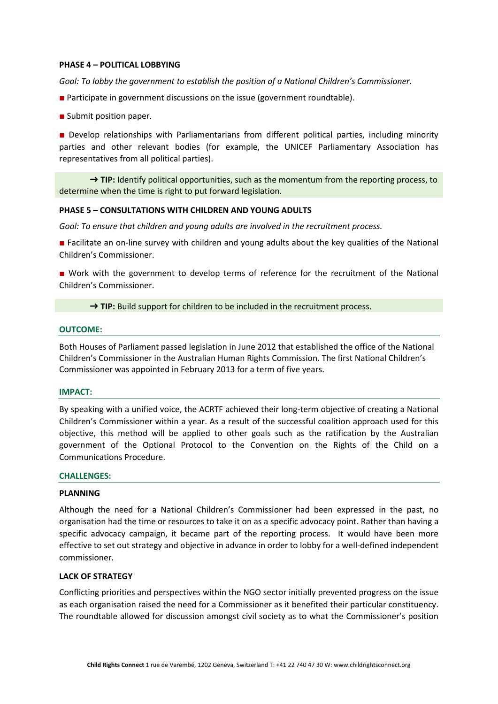#### **PHASE 4 – POLITICAL LOBBYING**

*Goal: To lobby the government to establish the position of a National Children's Commissioner.*

- Participate in government discussions on the issue (government roundtable).
- Submit position paper.

■ Develop relationships with Parliamentarians from different political parties, including minority parties and other relevant bodies (for example, the UNICEF Parliamentary Association has representatives from all political parties).

→ TIP: Identify political opportunities, such as the momentum from the reporting process, to determine when the time is right to put forward legislation.

#### **PHASE 5 – CONSULTATIONS WITH CHILDREN AND YOUNG ADULTS**

*Goal: To ensure that children and young adults are involved in the recruitment process.*

■ Facilitate an on-line survey with children and young adults about the key qualities of the National Children's Commissioner.

■ Work with the government to develop terms of reference for the recruitment of the National Children's Commissioner.

→ **TIP:** Build support for children to be included in the recruitment process.

#### **OUTCOME:**

Both Houses of Parliament passed legislation in June 2012 that established the office of the National Children's Commissioner in the Australian Human Rights Commission. The first National Children's Commissioner was appointed in February 2013 for a term of five years.

#### **IMPACT:**

By speaking with a unified voice, the ACRTF achieved their long-term objective of creating a National Children's Commissioner within a year. As a result of the successful coalition approach used for this objective, this method will be applied to other goals such as the ratification by the Australian government of the Optional Protocol to the Convention on the Rights of the Child on a Communications Procedure.

#### **CHALLENGES:**

#### **PLANNING**

Although the need for a National Children's Commissioner had been expressed in the past, no organisation had the time or resources to take it on as a specific advocacy point. Rather than having a specific advocacy campaign, it became part of the reporting process. It would have been more effective to set out strategy and objective in advance in order to lobby for a well-defined independent commissioner.

#### **LACK OF STRATEGY**

Conflicting priorities and perspectives within the NGO sector initially prevented progress on the issue as each organisation raised the need for a Commissioner as it benefited their particular constituency. The roundtable allowed for discussion amongst civil society as to what the Commissioner's position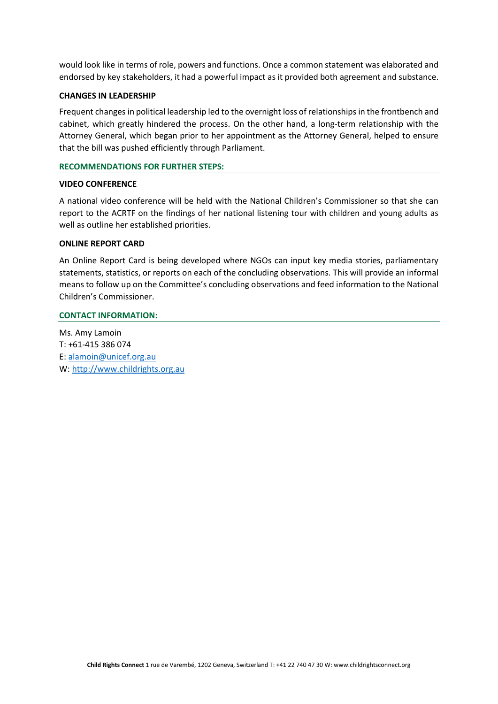would look like in terms of role, powers and functions. Once a common statement was elaborated and endorsed by key stakeholders, it had a powerful impact as it provided both agreement and substance.

#### **CHANGES IN LEADERSHIP**

Frequent changes in political leadership led to the overnight loss of relationships in the frontbench and cabinet, which greatly hindered the process. On the other hand, a long-term relationship with the Attorney General, which began prior to her appointment as the Attorney General, helped to ensure that the bill was pushed efficiently through Parliament.

#### **RECOMMENDATIONS FOR FURTHER STEPS:**

#### **VIDEO CONFERENCE**

A national video conference will be held with the National Children's Commissioner so that she can report to the ACRTF on the findings of her national listening tour with children and young adults as well as outline her established priorities.

#### **ONLINE REPORT CARD**

An Online Report Card is being developed where NGOs can input key media stories, parliamentary statements, statistics, or reports on each of the concluding observations. This will provide an informal means to follow up on the Committee's concluding observations and feed information to the National Children's Commissioner.

#### **CONTACT INFORMATION:**

Ms. Amy Lamoin T: +61-415 386 074 E[: alamoin@unicef.org.au](mailto:alamoin@unicef.org.au) W: [http://www.childrights.org.au](http://www.childrights.org.au/)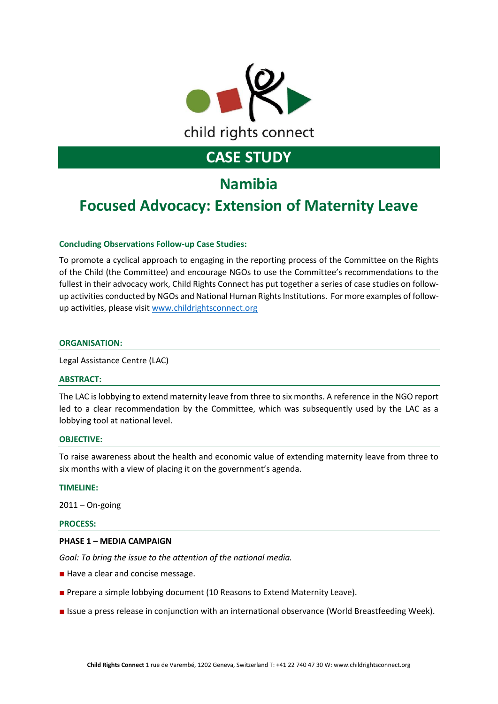

## **Namibia**

### **Focused Advocacy: Extension of Maternity Leave**

#### **Concluding Observations Follow-up Case Studies:**

To promote a cyclical approach to engaging in the reporting process of the Committee on the Rights of the Child (the Committee) and encourage NGOs to use the Committee's recommendations to the fullest in their advocacy work, Child Rights Connect has put together a series of case studies on followup activities conducted by NGOs and National Human Rights Institutions. For more examples of followup activities, please visi[t www.childrightsconnect.org](http://www.childrightsconnect.org/)

#### **ORGANISATION:**

Legal Assistance Centre (LAC)

#### **ABSTRACT:**

The LAC is lobbying to extend maternity leave from three to six months. A reference in the NGO report led to a clear recommendation by the Committee, which was subsequently used by the LAC as a lobbying tool at national level.

#### **OBJECTIVE:**

To raise awareness about the health and economic value of extending maternity leave from three to six months with a view of placing it on the government's agenda.

#### **TIMELINE:**

 $2011 - On$ -going

#### **PROCESS:**

#### **PHASE 1 – MEDIA CAMPAIGN**

*Goal: To bring the issue to the attention of the national media.*

- Have a clear and concise message.
- Prepare a simple lobbying document (10 Reasons to Extend Maternity Leave).
- Issue a press release in conjunction with an international observance (World Breastfeeding Week).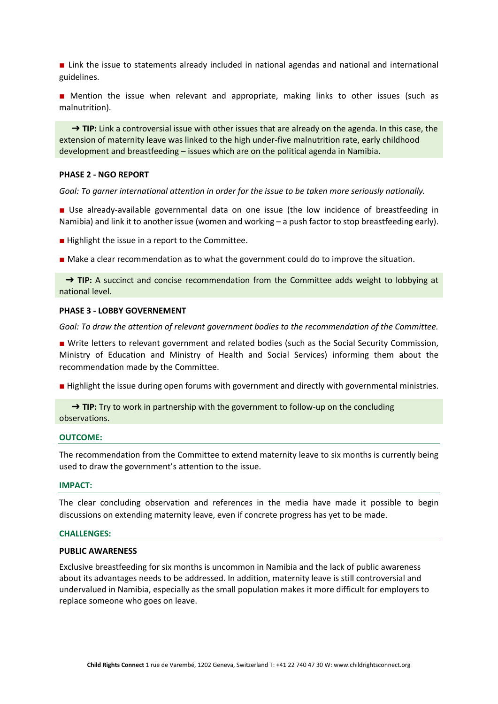■ Link the issue to statements already included in national agendas and national and international guidelines.

■ Mention the issue when relevant and appropriate, making links to other issues (such as malnutrition).

→ **TIP:** Link a controversial issue with other issues that are already on the agenda. In this case, the extension of maternity leave was linked to the high under-five malnutrition rate, early childhood development and breastfeeding – issues which are on the political agenda in Namibia.

#### **PHASE 2 - NGO REPORT**

*Goal: To garner international attention in order for the issue to be taken more seriously nationally.*

■ Use already-available governmental data on one issue (the low incidence of breastfeeding in Namibia) and link it to another issue (women and working – a push factor to stop breastfeeding early).

- Highlight the issue in a report to the Committee.
- Make a clear recommendation as to what the government could do to improve the situation.

→ **TIP:** A succinct and concise recommendation from the Committee adds weight to lobbying at national level.

#### **PHASE 3 - LOBBY GOVERNEMENT**

*Goal: To draw the attention of relevant government bodies to the recommendation of the Committee.*

■ Write letters to relevant government and related bodies (such as the Social Security Commission, Ministry of Education and Ministry of Health and Social Services) informing them about the recommendation made by the Committee.

■ Highlight the issue during open forums with government and directly with governmental ministries.

→ **TIP:** Try to work in partnership with the government to follow-up on the concluding observations.

#### **OUTCOME:**

The recommendation from the Committee to extend maternity leave to six months is currently being used to draw the government's attention to the issue.

#### **IMPACT:**

The clear concluding observation and references in the media have made it possible to begin discussions on extending maternity leave, even if concrete progress has yet to be made.

#### **CHALLENGES:**

#### **PUBLIC AWARENESS**

Exclusive breastfeeding for six months is uncommon in Namibia and the lack of public awareness about its advantages needs to be addressed. In addition, maternity leave is still controversial and undervalued in Namibia, especially as the small population makes it more difficult for employers to replace someone who goes on leave.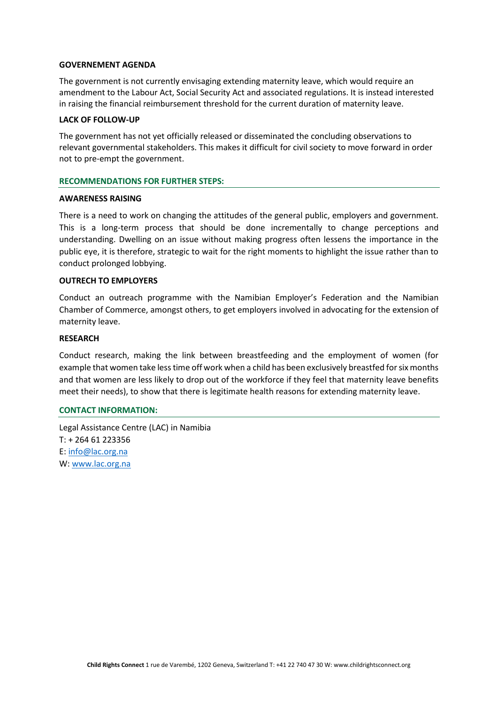#### **GOVERNEMENT AGENDA**

The government is not currently envisaging extending maternity leave, which would require an amendment to the Labour Act, Social Security Act and associated regulations. It is instead interested in raising the financial reimbursement threshold for the current duration of maternity leave.

#### **LACK OF FOLLOW-UP**

The government has not yet officially released or disseminated the concluding observations to relevant governmental stakeholders. This makes it difficult for civil society to move forward in order not to pre-empt the government.

#### **RECOMMENDATIONS FOR FURTHER STEPS:**

#### **AWARENESS RAISING**

There is a need to work on changing the attitudes of the general public, employers and government. This is a long-term process that should be done incrementally to change perceptions and understanding. Dwelling on an issue without making progress often lessens the importance in the public eye, it is therefore, strategic to wait for the right moments to highlight the issue rather than to conduct prolonged lobbying.

#### **OUTRECH TO EMPLOYERS**

Conduct an outreach programme with the Namibian Employer's Federation and the Namibian Chamber of Commerce, amongst others, to get employers involved in advocating for the extension of maternity leave.

#### **RESEARCH**

Conduct research, making the link between breastfeeding and the employment of women (for example that women take less time off work when a child has been exclusively breastfed for six months and that women are less likely to drop out of the workforce if they feel that maternity leave benefits meet their needs), to show that there is legitimate health reasons for extending maternity leave.

#### **CONTACT INFORMATION:**

Legal Assistance Centre (LAC) in Namibia T: + 264 61 223356 E[: info@lac.org.na](mailto:info@lac.org.na) W: [www.lac.org.na](http://www.lac.org.na/)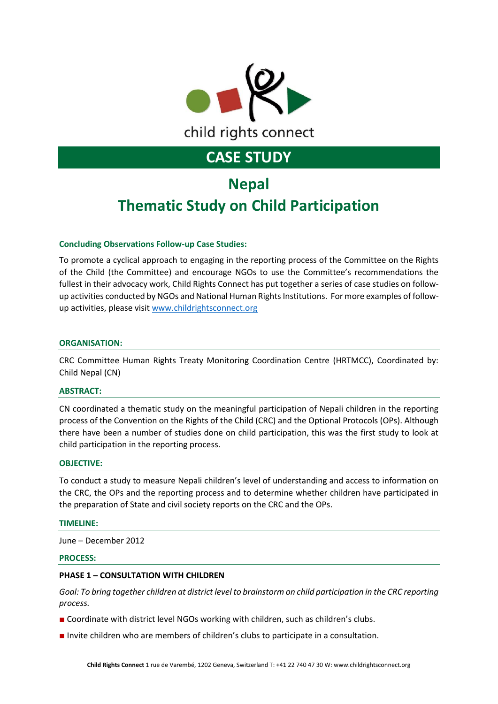

# **Nepal Thematic Study on Child Participation**

#### **Concluding Observations Follow-up Case Studies:**

To promote a cyclical approach to engaging in the reporting process of the Committee on the Rights of the Child (the Committee) and encourage NGOs to use the Committee's recommendations the fullest in their advocacy work, Child Rights Connect has put together a series of case studies on followup activities conducted by NGOs and National Human Rights Institutions. For more examples of followup activities, please visi[t www.childrightsconnect.org](http://www.childrightsconnect.org/)

#### **ORGANISATION:**

CRC Committee Human Rights Treaty Monitoring Coordination Centre (HRTMCC), Coordinated by: Child Nepal (CN)

#### **ABSTRACT:**

CN coordinated a thematic study on the meaningful participation of Nepali children in the reporting process of the Convention on the Rights of the Child (CRC) and the Optional Protocols (OPs). Although there have been a number of studies done on child participation, this was the first study to look at child participation in the reporting process.

#### **OBJECTIVE:**

To conduct a study to measure Nepali children's level of understanding and access to information on the CRC, the OPs and the reporting process and to determine whether children have participated in the preparation of State and civil society reports on the CRC and the OPs.

#### **TIMELINE:**

June – December 2012

#### **PROCESS:**

#### **PHASE 1 – CONSULTATION WITH CHILDREN**

*Goal: To bring together children at district level to brainstorm on child participation in the CRC reporting process.*

- Coordinate with district level NGOs working with children, such as children's clubs.
- Invite children who are members of children's clubs to participate in a consultation.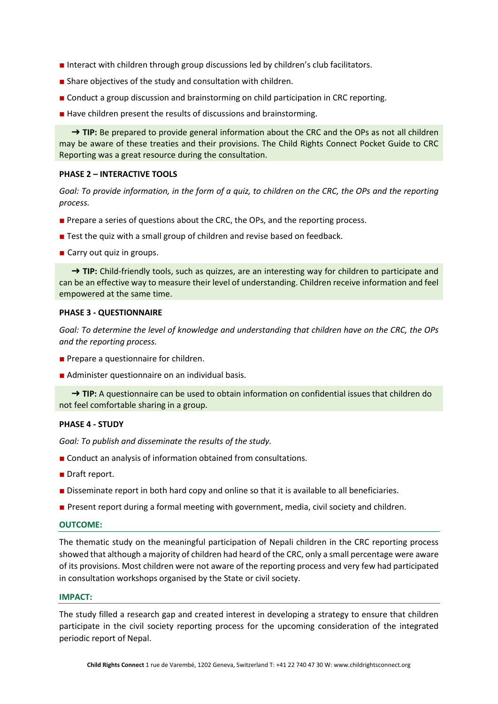- Interact with children through group discussions led by children's club facilitators.
- Share objectives of the study and consultation with children.
- Conduct a group discussion and brainstorming on child participation in CRC reporting.
- Have children present the results of discussions and brainstorming.

→ TIP: Be prepared to provide general information about the CRC and the OPs as not all children may be aware of these treaties and their provisions. The Child Rights Connect Pocket Guide to CRC Reporting was a great resource during the consultation.

#### **PHASE 2 – INTERACTIVE TOOLS**

*Goal: To provide information, in the form of a quiz, to children on the CRC, the OPs and the reporting process.*

- Prepare a series of questions about the CRC, the OPs, and the reporting process.
- Test the quiz with a small group of children and revise based on feedback.
- Carry out quiz in groups.

→ TIP: Child-friendly tools, such as quizzes, are an interesting way for children to participate and can be an effective way to measure their level of understanding. Children receive information and feel empowered at the same time.

#### **PHASE 3 - QUESTIONNAIRE**

*Goal: To determine the level of knowledge and understanding that children have on the CRC, the OPs and the reporting process.*

- Prepare a questionnaire for children.
- Administer questionnaire on an individual basis.

→ **TIP:** A questionnaire can be used to obtain information on confidential issues that children do not feel comfortable sharing in a group.

#### **PHASE 4 - STUDY**

*Goal: To publish and disseminate the results of the study.*

- Conduct an analysis of information obtained from consultations.
- Draft report.
- Disseminate report in both hard copy and online so that it is available to all beneficiaries.
- Present report during a formal meeting with government, media, civil society and children.

#### **OUTCOME:**

The thematic study on the meaningful participation of Nepali children in the CRC reporting process showed that although a majority of children had heard of the CRC, only a small percentage were aware of its provisions. Most children were not aware of the reporting process and very few had participated in consultation workshops organised by the State or civil society.

#### **IMPACT:**

The study filled a research gap and created interest in developing a strategy to ensure that children participate in the civil society reporting process for the upcoming consideration of the integrated periodic report of Nepal.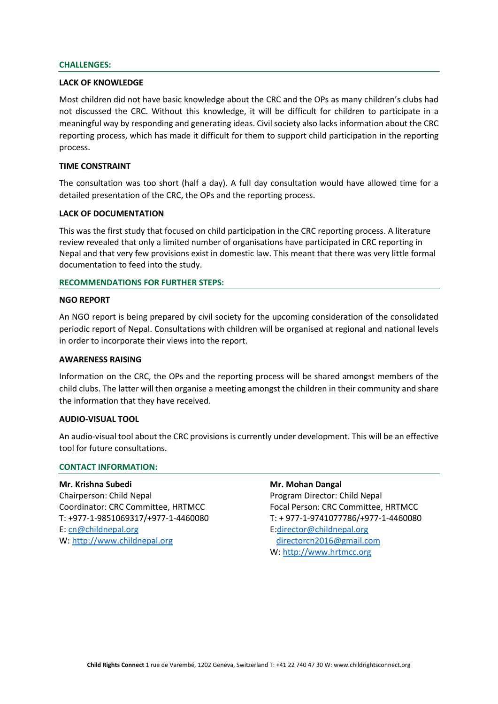#### **CHALLENGES:**

#### **LACK OF KNOWLEDGE**

Most children did not have basic knowledge about the CRC and the OPs as many children's clubs had not discussed the CRC. Without this knowledge, it will be difficult for children to participate in a meaningful way by responding and generating ideas. Civil society also lacks information about the CRC reporting process, which has made it difficult for them to support child participation in the reporting process.

#### **TIME CONSTRAINT**

The consultation was too short (half a day). A full day consultation would have allowed time for a detailed presentation of the CRC, the OPs and the reporting process.

#### **LACK OF DOCUMENTATION**

This was the first study that focused on child participation in the CRC reporting process. A literature review revealed that only a limited number of organisations have participated in CRC reporting in Nepal and that very few provisions exist in domestic law. This meant that there was very little formal documentation to feed into the study.

#### **RECOMMENDATIONS FOR FURTHER STEPS:**

#### **NGO REPORT**

An NGO report is being prepared by civil society for the upcoming consideration of the consolidated periodic report of Nepal. Consultations with children will be organised at regional and national levels in order to incorporate their views into the report.

#### **AWARENESS RAISING**

Information on the CRC, the OPs and the reporting process will be shared amongst members of the child clubs. The latter will then organise a meeting amongst the children in their community and share the information that they have received.

#### **AUDIO-VISUAL TOOL**

An audio-visual tool about the CRC provisions is currently under development. This will be an effective tool for future consultations.

#### **CONTACT INFORMATION:**

**Mr. Krishna Subedi Mr. Mohan Dangal** Chairperson: Child Nepal Program Director: Child Nepal Coordinator: CRC Committee, HRTMCC Focal Person: CRC Committee, HRTMCC E[: cn@childnepal.org](mailto:cn@childnepal.org) E[:director@childnepal.org](mailto:director@childnepal.org) W: [http://www.childnepal.org](http://www.childnepal.org/) [directorcn2016@gmail.com](mailto:directorcn2016@gmail.com)

T: +977-1-9851069317/+977-1-4460080 T: + 977-1-9741077786/+977-1-4460080 W: [http://www.hrtmcc.org](http://www.hrtmcc.org/)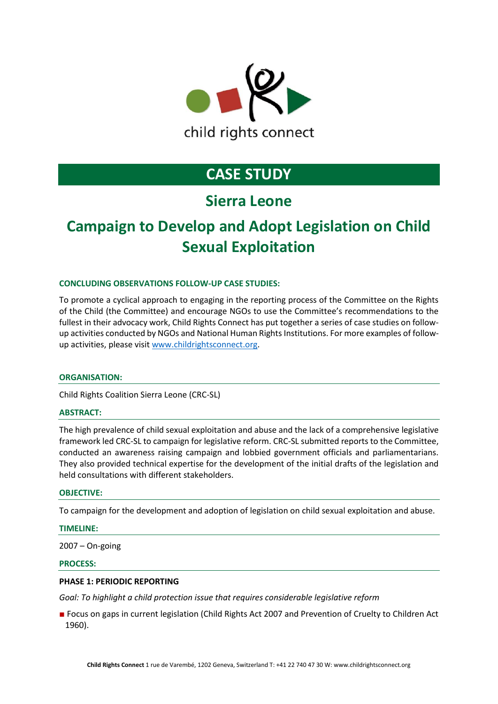

### **Sierra Leone**

# **Campaign to Develop and Adopt Legislation on Child Sexual Exploitation**

#### **CONCLUDING OBSERVATIONS FOLLOW-UP CASE STUDIES:**

To promote a cyclical approach to engaging in the reporting process of the Committee on the Rights of the Child (the Committee) and encourage NGOs to use the Committee's recommendations to the fullest in their advocacy work, Child Rights Connect has put together a series of case studies on followup activities conducted by NGOs and National Human Rights Institutions. For more examples of followup activities, please visi[t www.childrightsconnect.org.](http://www.childrightsconnect.org/)

#### **ORGANISATION:**

Child Rights Coalition Sierra Leone (CRC-SL)

#### **ABSTRACT:**

The high prevalence of child sexual exploitation and abuse and the lack of a comprehensive legislative framework led CRC-SL to campaign for legislative reform. CRC-SL submitted reports to the Committee, conducted an awareness raising campaign and lobbied government officials and parliamentarians. They also provided technical expertise for the development of the initial drafts of the legislation and held consultations with different stakeholders.

#### **OBJECTIVE:**

To campaign for the development and adoption of legislation on child sexual exploitation and abuse.

#### **TIMELINE:**

2007 – On-going

#### **PROCESS:**

#### **PHASE 1: PERIODIC REPORTING**

*Goal: To highlight a child protection issue that requires considerable legislative reform*

■ Focus on gaps in current legislation (Child Rights Act 2007 and Prevention of Cruelty to Children Act 1960).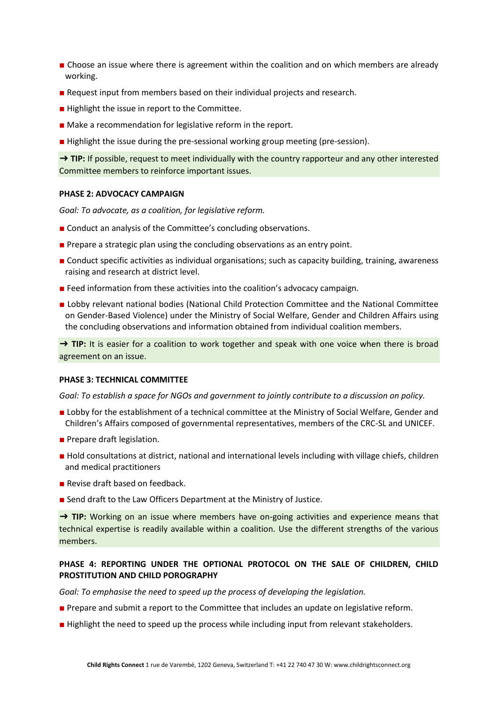- Choose an issue where there is agreement within the coalition and on which members are already working.
- Request input from members based on their individual projects and research.
- Highlight the issue in report to the Committee.
- Make a recommendation for legislative reform in the report.
- Highlight the issue during the pre-sessional working group meeting (pre-session).

→ TIP: If possible, request to meet individually with the country rapporteur and any other interested Committee members to reinforce important issues.

#### **PHASE 2: ADVOCACY CAMPAIGN**

*Goal: To advocate, as a coalition, for legislative reform.*

- Conduct an analysis of the Committee's concluding observations.
- Prepare a strategic plan using the concluding observations as an entry point.
- Conduct specific activities as individual organisations; such as capacity building, training, awareness raising and research at district level.
- Feed information from these activities into the coalition's advocacy campaign.
- Lobby relevant national bodies (National Child Protection Committee and the National Committee on Gender-Based Violence) under the Ministry of Social Welfare, Gender and Children Affairs using the concluding observations and information obtained from individual coalition members.

→ **TIP:** It is easier for a coalition to work together and speak with one voice when there is broad agreement on an issue.

#### **PHASE 3: TECHNICAL COMMITTEE**

*Goal: To establish a space for NGOs and government to jointly contribute to a discussion on policy.*

- Lobby for the establishment of a technical committee at the Ministry of Social Welfare, Gender and Children's Affairs composed of governmental representatives, members of the CRC-SL and UNICEF.
- Prepare draft legislation.
- Hold consultations at district, national and international levels including with village chiefs, children and medical practitioners
- Revise draft based on feedback.
- Send draft to the Law Officers Department at the Ministry of Justice.

→ **TIP:** Working on an issue where members have on-going activities and experience means that technical expertise is readily available within a coalition. Use the different strengths of the various members.

#### **PHASE 4: REPORTING UNDER THE OPTIONAL PROTOCOL ON THE SALE OF CHILDREN, CHILD PROSTITUTION AND CHILD POROGRAPHY**

*Goal: To emphasise the need to speed up the process of developing the legislation.*

- Prepare and submit a report to the Committee that includes an update on legislative reform.
- Highlight the need to speed up the process while including input from relevant stakeholders.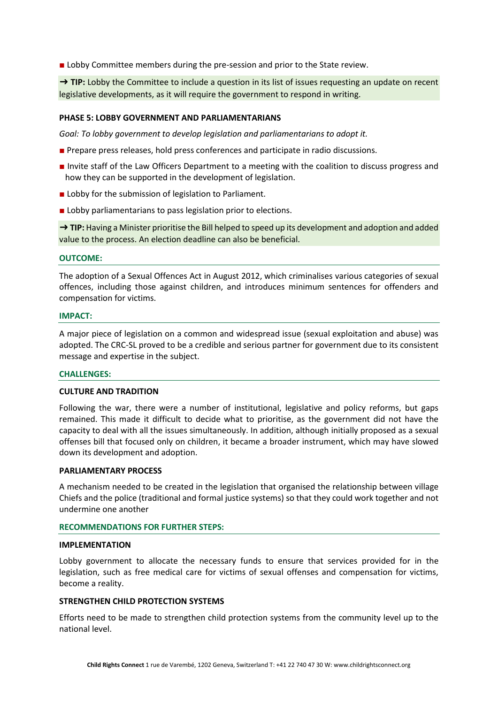■ Lobby Committee members during the pre-session and prior to the State review.

→ TIP: Lobby the Committee to include a question in its list of issues requesting an update on recent legislative developments, as it will require the government to respond in writing.

#### **PHASE 5: LOBBY GOVERNMENT AND PARLIAMENTARIANS**

*Goal: To lobby government to develop legislation and parliamentarians to adopt it.*

- Prepare press releases, hold press conferences and participate in radio discussions.
- Invite staff of the Law Officers Department to a meeting with the coalition to discuss progress and how they can be supported in the development of legislation.
- Lobby for the submission of legislation to Parliament.
- Lobby parliamentarians to pass legislation prior to elections.

→ **TIP:** Having a Minister prioritise the Bill helped to speed up its development and adoption and added value to the process. An election deadline can also be beneficial.

#### **OUTCOME:**

The adoption of a Sexual Offences Act in August 2012, which criminalises various categories of sexual offences, including those against children, and introduces minimum sentences for offenders and compensation for victims.

#### **IMPACT:**

A major piece of legislation on a common and widespread issue (sexual exploitation and abuse) was adopted. The CRC-SL proved to be a credible and serious partner for government due to its consistent message and expertise in the subject.

#### **CHALLENGES:**

#### **CULTURE AND TRADITION**

Following the war, there were a number of institutional, legislative and policy reforms, but gaps remained. This made it difficult to decide what to prioritise, as the government did not have the capacity to deal with all the issues simultaneously. In addition, although initially proposed as a sexual offenses bill that focused only on children, it became a broader instrument, which may have slowed down its development and adoption.

#### **PARLIAMENTARY PROCESS**

A mechanism needed to be created in the legislation that organised the relationship between village Chiefs and the police (traditional and formal justice systems) so that they could work together and not undermine one another

#### **RECOMMENDATIONS FOR FURTHER STEPS:**

#### **IMPLEMENTATION**

Lobby government to allocate the necessary funds to ensure that services provided for in the legislation, such as free medical care for victims of sexual offenses and compensation for victims, become a reality.

#### **STRENGTHEN CHILD PROTECTION SYSTEMS**

Efforts need to be made to strengthen child protection systems from the community level up to the national level.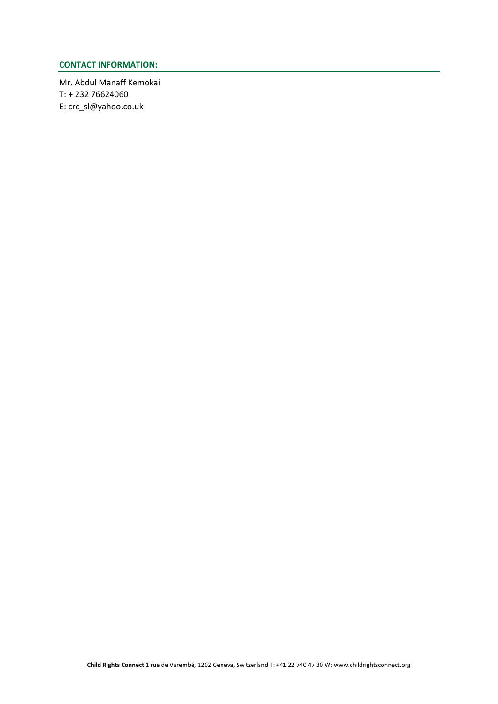### **CONTACT INFORMATION:**

Mr. Abdul Manaff Kemokai T: + 232 76624060 E: crc\_sl@yahoo.co.uk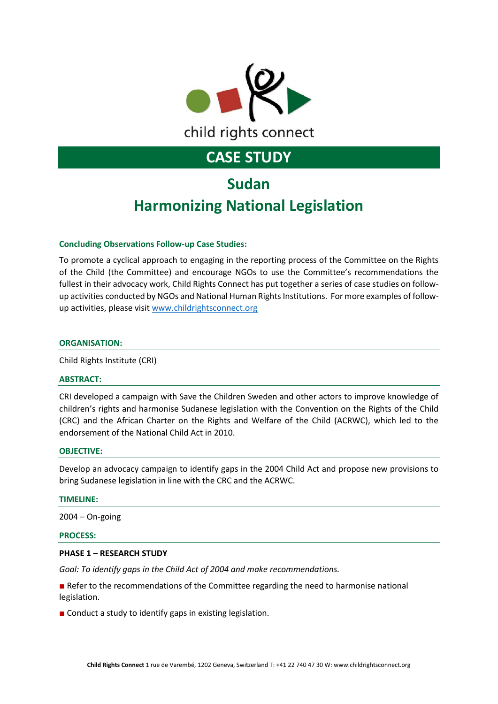

# **Sudan Harmonizing National Legislation**

#### **Concluding Observations Follow-up Case Studies:**

To promote a cyclical approach to engaging in the reporting process of the Committee on the Rights of the Child (the Committee) and encourage NGOs to use the Committee's recommendations the fullest in their advocacy work, Child Rights Connect has put together a series of case studies on followup activities conducted by NGOs and National Human Rights Institutions. For more examples of followup activities, please visi[t www.childrightsconnect.org](http://www.childrightsconnect.org/)

#### **ORGANISATION:**

Child Rights Institute (CRI)

#### **ABSTRACT:**

CRI developed a campaign with Save the Children Sweden and other actors to improve knowledge of children's rights and harmonise Sudanese legislation with the Convention on the Rights of the Child (CRC) and the African Charter on the Rights and Welfare of the Child (ACRWC), which led to the endorsement of the National Child Act in 2010.

#### **OBJECTIVE:**

Develop an advocacy campaign to identify gaps in the 2004 Child Act and propose new provisions to bring Sudanese legislation in line with the CRC and the ACRWC.

#### **TIMELINE:**

2004 – On-going

#### **PROCESS:**

#### **PHASE 1 – RESEARCH STUDY**

*Goal: To identify gaps in the Child Act of 2004 and make recommendations.*

■ Refer to the recommendations of the Committee regarding the need to harmonise national legislation.

■ Conduct a study to identify gaps in existing legislation.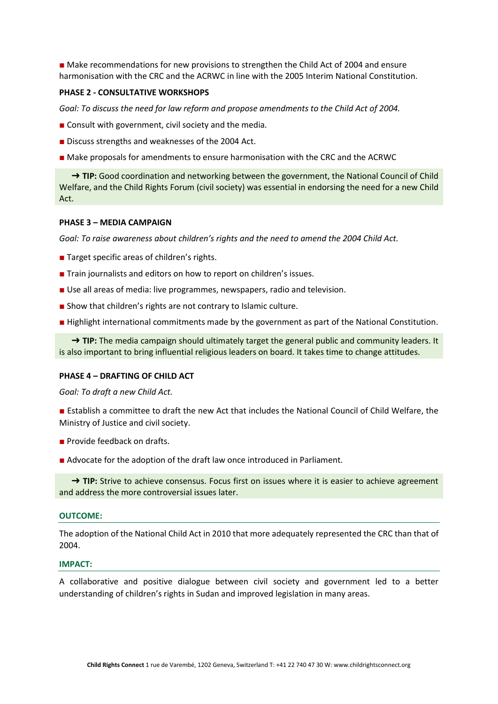■ Make recommendations for new provisions to strengthen the Child Act of 2004 and ensure harmonisation with the CRC and the ACRWC in line with the 2005 Interim National Constitution.

#### **PHASE 2 - CONSULTATIVE WORKSHOPS**

Goal: To discuss the need for law reform and propose amendments to the Child Act of 2004.

- Consult with government, civil society and the media.
- Discuss strengths and weaknesses of the 2004 Act.
- Make proposals for amendments to ensure harmonisation with the CRC and the ACRWC

→ TIP: Good coordination and networking between the government, the National Council of Child Welfare, and the Child Rights Forum (civil society) was essential in endorsing the need for a new Child Act.

#### **PHASE 3 – MEDIA CAMPAIGN**

*Goal: To raise awareness about children's rights and the need to amend the 2004 Child Act.*

- Target specific areas of children's rights.
- Train journalists and editors on how to report on children's issues.
- Use all areas of media: live programmes, newspapers, radio and television.
- Show that children's rights are not contrary to Islamic culture.
- Highlight international commitments made by the government as part of the National Constitution.

→ **TIP:** The media campaign should ultimately target the general public and community leaders. It is also important to bring influential religious leaders on board. It takes time to change attitudes.

#### **PHASE 4 – DRAFTING OF CHILD ACT**

*Goal: To draft a new Child Act.*

■ Establish a committee to draft the new Act that includes the National Council of Child Welfare, the Ministry of Justice and civil society.

- Provide feedback on drafts.
- Advocate for the adoption of the draft law once introduced in Parliament.

→ **TIP:** Strive to achieve consensus. Focus first on issues where it is easier to achieve agreement and address the more controversial issues later.

#### **OUTCOME:**

The adoption of the National Child Act in 2010 that more adequately represented the CRC than that of 2004.

#### **IMPACT:**

A collaborative and positive dialogue between civil society and government led to a better understanding of children's rights in Sudan and improved legislation in many areas.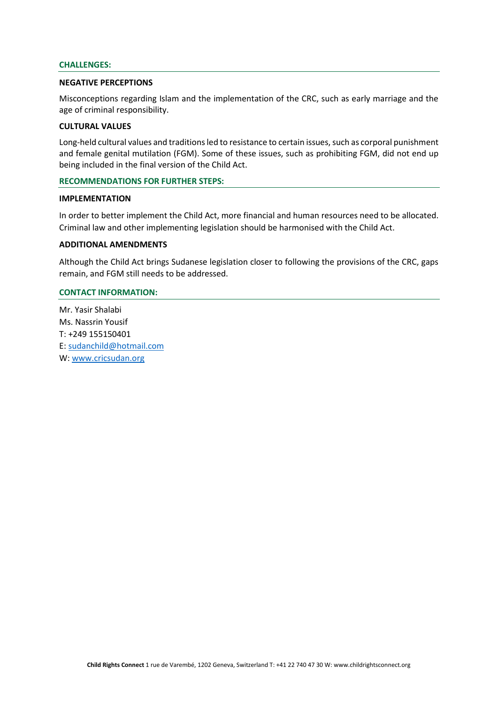#### **CHALLENGES:**

#### **NEGATIVE PERCEPTIONS**

Misconceptions regarding Islam and the implementation of the CRC, such as early marriage and the age of criminal responsibility.

#### **CULTURAL VALUES**

Long-held cultural values and traditions led to resistance to certain issues, such as corporal punishment and female genital mutilation (FGM). Some of these issues, such as prohibiting FGM, did not end up being included in the final version of the Child Act.

#### **RECOMMENDATIONS FOR FURTHER STEPS:**

#### **IMPLEMENTATION**

In order to better implement the Child Act, more financial and human resources need to be allocated. Criminal law and other implementing legislation should be harmonised with the Child Act.

#### **ADDITIONAL AMENDMENTS**

Although the Child Act brings Sudanese legislation closer to following the provisions of the CRC, gaps remain, and FGM still needs to be addressed.

#### **CONTACT INFORMATION:**

Mr. Yasir Shalabi Ms. Nassrin Yousif T: +249 155150401 E[: sudanchild@hotmail.com](mailto:sudanchild@hotmail.com) W: [www.cricsudan.org](http://www.cricsudan.org/)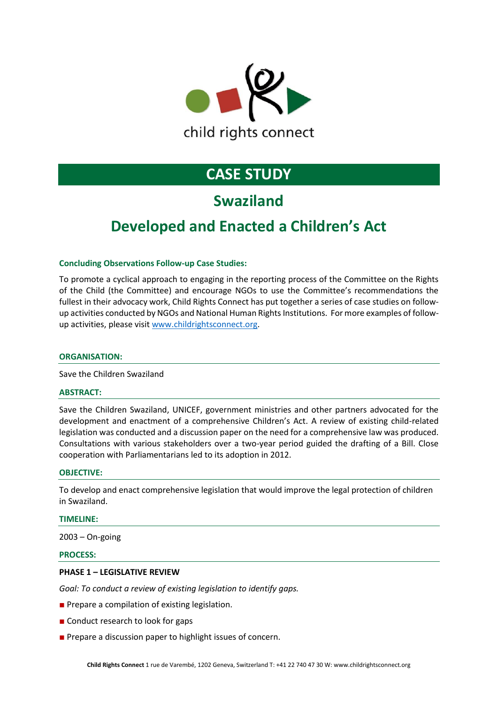

### **Swaziland**

### **Developed and Enacted a Children's Act**

#### **Concluding Observations Follow-up Case Studies:**

To promote a cyclical approach to engaging in the reporting process of the Committee on the Rights of the Child (the Committee) and encourage NGOs to use the Committee's recommendations the fullest in their advocacy work, Child Rights Connect has put together a series of case studies on followup activities conducted by NGOs and National Human Rights Institutions. For more examples of followup activities, please visi[t www.childrightsconnect.org.](http://www.childrightsconnect.org/)

#### **ORGANISATION:**

Save the Children Swaziland

#### **ABSTRACT:**

Save the Children Swaziland, UNICEF, government ministries and other partners advocated for the development and enactment of a comprehensive Children's Act. A review of existing child-related legislation was conducted and a discussion paper on the need for a comprehensive law was produced. Consultations with various stakeholders over a two-year period guided the drafting of a Bill. Close cooperation with Parliamentarians led to its adoption in 2012.

#### **OBJECTIVE:**

To develop and enact comprehensive legislation that would improve the legal protection of children in Swaziland.

#### **TIMELINE:**

2003 – On-going

#### **PROCESS:**

#### **PHASE 1 – LEGISLATIVE REVIEW**

*Goal: To conduct a review of existing legislation to identify gaps.*

- Prepare a compilation of existing legislation.
- Conduct research to look for gaps
- Prepare a discussion paper to highlight issues of concern.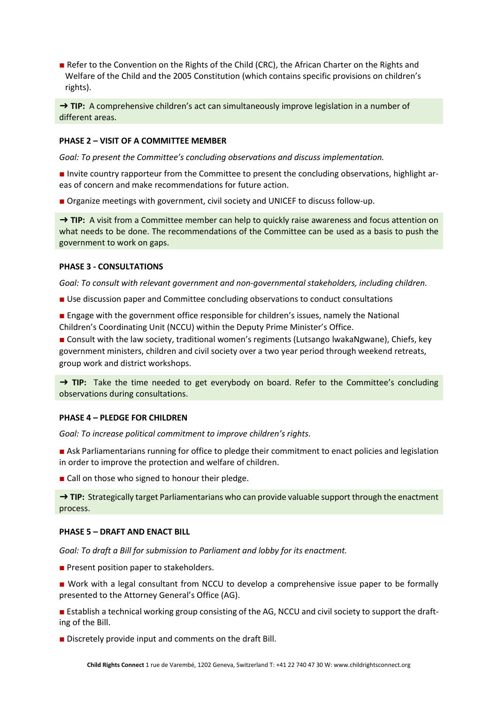■ Refer to the Convention on the Rights of the Child (CRC), the African Charter on the Rights and Welfare of the Child and the 2005 Constitution (which contains specific provisions on children's rights).

→ TIP: A comprehensive children's act can simultaneously improve legislation in a number of different areas.

#### **PHASE 2 – VISIT OF A COMMITTEE MEMBER**

*Goal: To present the Committee's concluding observations and discuss implementation.* 

■ Invite country rapporteur from the Committee to present the concluding observations, highlight areas of concern and make recommendations for future action.

■ Organize meetings with government, civil society and UNICEF to discuss follow-up.

→ **TIP:** A visit from a Committee member can help to quickly raise awareness and focus attention on what needs to be done. The recommendations of the Committee can be used as a basis to push the government to work on gaps.

#### **PHASE 3 - CONSULTATIONS**

*Goal: To consult with relevant government and non-governmental stakeholders, including children.*

■ Use discussion paper and Committee concluding observations to conduct consultations

■ Engage with the government office responsible for children's issues, namely the National Children's Coordinating Unit (NCCU) within the Deputy Prime Minister's Office.

■ Consult with the law society, traditional women's regiments (Lutsango lwakaNgwane), Chiefs, key government ministers, children and civil society over a two year period through weekend retreats, group work and district workshops.

→ **TIP:** Take the time needed to get everybody on board. Refer to the Committee's concluding observations during consultations.

#### **PHASE 4 – PLEDGE FOR CHILDREN**

*Goal: To increase political commitment to improve children's rights.*

- Ask Parliamentarians running for office to pledge their commitment to enact policies and legislation in order to improve the protection and welfare of children.
- Call on those who signed to honour their pledge.

→ **TIP:** Strategically target Parliamentarians who can provide valuable support through the enactment process.

#### **PHASE 5 – DRAFT AND ENACT BILL**

*Goal: To draft a Bill for submission to Parliament and lobby for its enactment.*

- Present position paper to stakeholders.
- Work with a legal consultant from NCCU to develop a comprehensive issue paper to be formally presented to the Attorney General's Office (AG).

■ Establish a technical working group consisting of the AG, NCCU and civil society to support the drafting of the Bill.

■ Discretely provide input and comments on the draft Bill.